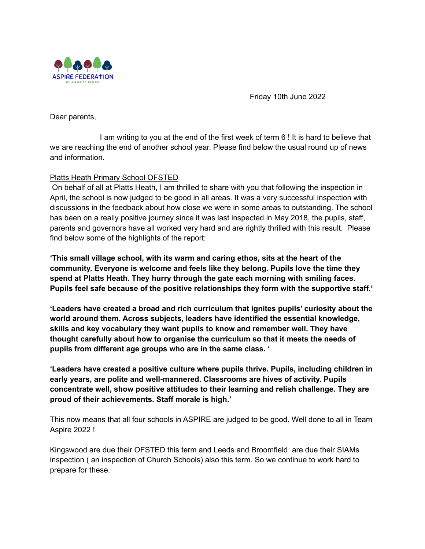

Friday 10th June 2022

Dear parents,

I am writing to you at the end of the first week of term 6 ! It is hard to believe that we are reaching the end of another school year. Please find below the usual round up of news and information.

# Platts Heath Primary School OFSTED

On behalf of all at Platts Heath, I am thrilled to share with you that following the inspection in April, the school is now judged to be good in all areas. It was a very successful inspection with discussions in the feedback about how close we were in some areas to outstanding. The school has been on a really positive journey since it was last inspected in May 2018, the pupils, staff, parents and governors have all worked very hard and are rightly thrilled with this result. Please find below some of the highlights of the report:

**'This small village school, with its warm and caring ethos, sits at the heart of the community. Everyone is welcome and feels like they belong. Pupils love the time they spend at Platts Heath. They hurry through the gate each morning with smiling faces. Pupils feel safe because of the positive relationships they form with the supportive staff.'**

**'Leaders have created a broad and rich curriculum that ignites pupils' curiosity about the world around them. Across subjects, leaders have identified the essential knowledge, skills and key vocabulary they want pupils to know and remember well. They have thought carefully about how to organise the curriculum so that it meets the needs of pupils from different age groups who are in the same class. '**

**'Leaders have created a positive culture where pupils thrive. Pupils, including children in early years, are polite and well-mannered. Classrooms are hives of activity. Pupils concentrate well, show positive attitudes to their learning and relish challenge. They are proud of their achievements. Staff morale is high.'**

This now means that all four schools in ASPIRE are judged to be good. Well done to all in Team Aspire 2022 !

Kingswood are due their OFSTED this term and Leeds and Broomfield are due their SIAMs inspection ( an inspection of Church Schools) also this term. So we continue to work hard to prepare for these.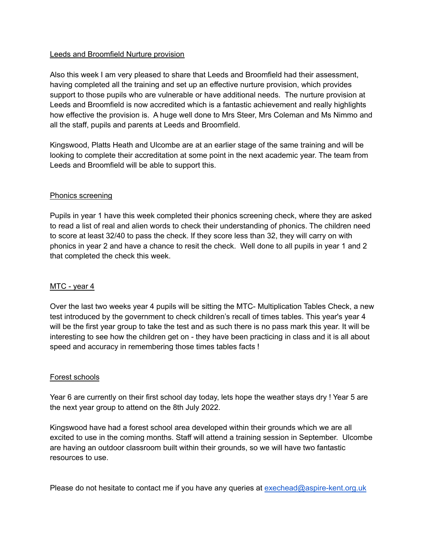### Leeds and Broomfield Nurture provision

Also this week I am very pleased to share that Leeds and Broomfield had their assessment, having completed all the training and set up an effective nurture provision, which provides support to those pupils who are vulnerable or have additional needs. The nurture provision at Leeds and Broomfield is now accredited which is a fantastic achievement and really highlights how effective the provision is. A huge well done to Mrs Steer, Mrs Coleman and Ms Nimmo and all the staff, pupils and parents at Leeds and Broomfield.

Kingswood, Platts Heath and Ulcombe are at an earlier stage of the same training and will be looking to complete their accreditation at some point in the next academic year. The team from Leeds and Broomfield will be able to support this.

#### Phonics screening

Pupils in year 1 have this week completed their phonics screening check, where they are asked to read a list of real and alien words to check their understanding of phonics. The children need to score at least 32/40 to pass the check. If they score less than 32, they will carry on with phonics in year 2 and have a chance to resit the check. Well done to all pupils in year 1 and 2 that completed the check this week.

## MTC - year 4

Over the last two weeks year 4 pupils will be sitting the MTC- Multiplication Tables Check, a new test introduced by the government to check children's recall of times tables. This year's year 4 will be the first year group to take the test and as such there is no pass mark this year. It will be interesting to see how the children get on - they have been practicing in class and it is all about speed and accuracy in remembering those times tables facts !

#### Forest schools

Year 6 are currently on their first school day today, lets hope the weather stays dry ! Year 5 are the next year group to attend on the 8th July 2022.

Kingswood have had a forest school area developed within their grounds which we are all excited to use in the coming months. Staff will attend a training session in September. Ulcombe are having an outdoor classroom built within their grounds, so we will have two fantastic resources to use.

Please do not hesitate to contact me if you have any queries at [exechead@aspire-kent.org.uk](mailto:exechead@aspire-kent.org.uk)